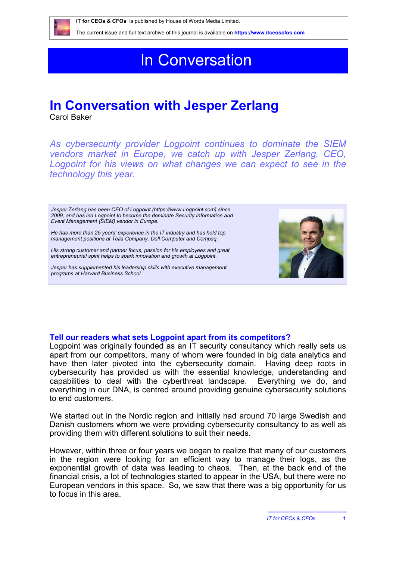

 **IT for CEOs & CFOs** is published by House of Words Media Limited.

The current issue and full text archive of this journal is available on **<https://www.itceoscfos.com>** 

# In Conversation

## **In Conversation with Jesper Zerlang**

Carol Baker

*As cybersecurity provider Logpoint continues to dominate the SIEM vendors market in Europe, we catch up with Jesper Zerlang, CEO,*  Logpoint for his views on what changes we can expect to see in the *technology this year.* 

*Jesper Zerlang has been CEO of Logpoint [\(https://www.Logpoint.com\)](https://www.Logpoint.com) since 2009, and has led Logpoint to become the dominate Security Information and Event Management (SIEM) vendor in Europe.* 

*He has more than 25 years' experience in the IT industry and has held top management positions at Telia Company, Dell Computer and Compaq.* 

*His strong customer and partner focus, passion for his employees and great entrepreneurial spirit helps to spark innovation and growth at Logpoint.* 

*Jesper has supplemented his leadership skills with executive management programs at Harvard Business School.* 



### **Tell our readers what sets Logpoint apart from its competitors?**

Logpoint was originally founded as an IT security consultancy which really sets us apart from our competitors, many of whom were founded in big data analytics and have then later pivoted into the cybersecurity domain. Having deep roots in cybersecurity has provided us with the essential knowledge, understanding and capabilities to deal with the cyberthreat landscape. Everything we do, and everything in our DNA, is centred around providing genuine cybersecurity solutions to end customers.

We started out in the Nordic region and initially had around 70 large Swedish and Danish customers whom we were providing cybersecurity consultancy to as well as providing them with different solutions to suit their needs.

However, within three or four years we began to realize that many of our customers in the region were looking for an efficient way to manage their logs, as the exponential growth of data was leading to chaos. Then, at the back end of the financial crisis, a lot of technologies started to appear in the USA, but there were no European vendors in this space. So, we saw that there was a big opportunity for us to focus in this area.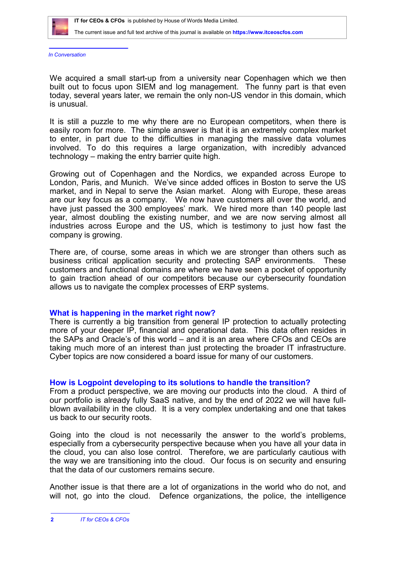

#### The current issue and full text archive of this journal is available on **<https://www.itceoscfos.com>**

*In Conversation*

We acquired a small start-up from a university near Copenhagen which we then built out to focus upon SIEM and log management. The funny part is that even today, several years later, we remain the only non-US vendor in this domain, which is unusual.

It is still a puzzle to me why there are no European competitors, when there is easily room for more. The simple answer is that it is an extremely complex market to enter, in part due to the difficulties in managing the massive data volumes involved. To do this requires a large organization, with incredibly advanced technology – making the entry barrier quite high.

Growing out of Copenhagen and the Nordics, we expanded across Europe to London, Paris, and Munich. We've since added offices in Boston to serve the US market, and in Nepal to serve the Asian market. Along with Europe, these areas are our key focus as a company. We now have customers all over the world, and have just passed the 300 employees' mark. We hired more than 140 people last year, almost doubling the existing number, and we are now serving almost all industries across Europe and the US, which is testimony to just how fast the company is growing.

There are, of course, some areas in which we are stronger than others such as business critical application security and protecting SAP environments. These customers and functional domains are where we have seen a pocket of opportunity to gain traction ahead of our competitors because our cybersecurity foundation allows us to navigate the complex processes of ERP systems.

#### **What is happening in the market right now?**

There is currently a big transition from general IP protection to actually protecting more of your deeper IP, financial and operational data. This data often resides in the SAPs and Oracle's of this world – and it is an area where CFOs and CEOs are taking much more of an interest than just protecting the broader IT infrastructure. Cyber topics are now considered a board issue for many of our customers.

#### **How is Logpoint developing to its solutions to handle the transition?**

From a product perspective, we are moving our products into the cloud. A third of our portfolio is already fully SaaS native, and by the end of 2022 we will have fullblown availability in the cloud. It is a very complex undertaking and one that takes us back to our security roots.

Going into the cloud is not necessarily the answer to the world's problems, especially from a cybersecurity perspective because when you have all your data in the cloud, you can also lose control. Therefore, we are particularly cautious with the way we are transitioning into the cloud. Our focus is on security and ensuring that the data of our customers remains secure.

Another issue is that there are a lot of organizations in the world who do not, and will not, go into the cloud. Defence organizations, the police, the intelligence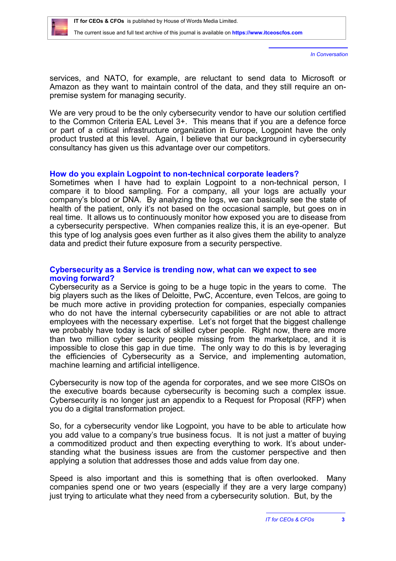

The current issue and full text archive of this journal is available on **<https://www.itceoscfos.com>** 

*In Conversation*

services, and NATO, for example, are reluctant to send data to Microsoft or Amazon as they want to maintain control of the data, and they still require an onpremise system for managing security.

We are very proud to be the only cybersecurity vendor to have our solution certified to the Common Criteria EAL Level 3+. This means that if you are a defence force or part of a critical infrastructure organization in Europe, Logpoint have the only product trusted at this level. Again, I believe that our background in cybersecurity consultancy has given us this advantage over our competitors.

#### **How do you explain Logpoint to non-technical corporate leaders?**

Sometimes when I have had to explain Logpoint to a non-technical person, I compare it to blood sampling. For a company, all your logs are actually your company's blood or DNA. By analyzing the logs, we can basically see the state of health of the patient, only it's not based on the occasional sample, but goes on in real time. It allows us to continuously monitor how exposed you are to disease from a cybersecurity perspective. When companies realize this, it is an eye-opener. But this type of log analysis goes even further as it also gives them the ability to analyze data and predict their future exposure from a security perspective.

### **Cybersecurity as a Service is trending now, what can we expect to see moving forward?**

Cybersecurity as a Service is going to be a huge topic in the years to come. The big players such as the likes of Deloitte, PwC, Accenture, even Telcos, are going to be much more active in providing protection for companies, especially companies who do not have the internal cybersecurity capabilities or are not able to attract employees with the necessary expertise. Let's not forget that the biggest challenge we probably have today is lack of skilled cyber people. Right now, there are more than two million cyber security people missing from the marketplace, and it is impossible to close this gap in due time. The only way to do this is by leveraging the efficiencies of Cybersecurity as a Service, and implementing automation, machine learning and artificial intelligence.

Cybersecurity is now top of the agenda for corporates, and we see more CISOs on the executive boards because cybersecurity is becoming such a complex issue. Cybersecurity is no longer just an appendix to a Request for Proposal (RFP) when you do a digital transformation project.

So, for a cybersecurity vendor like Logpoint, you have to be able to articulate how you add value to a company's true business focus. It is not just a matter of buying a commoditized product and then expecting everything to work. It's about understanding what the business issues are from the customer perspective and then applying a solution that addresses those and adds value from day one.

Speed is also important and this is something that is often overlooked. Many companies spend one or two years (especially if they are a very large company) just trying to articulate what they need from a cybersecurity solution. But, by the